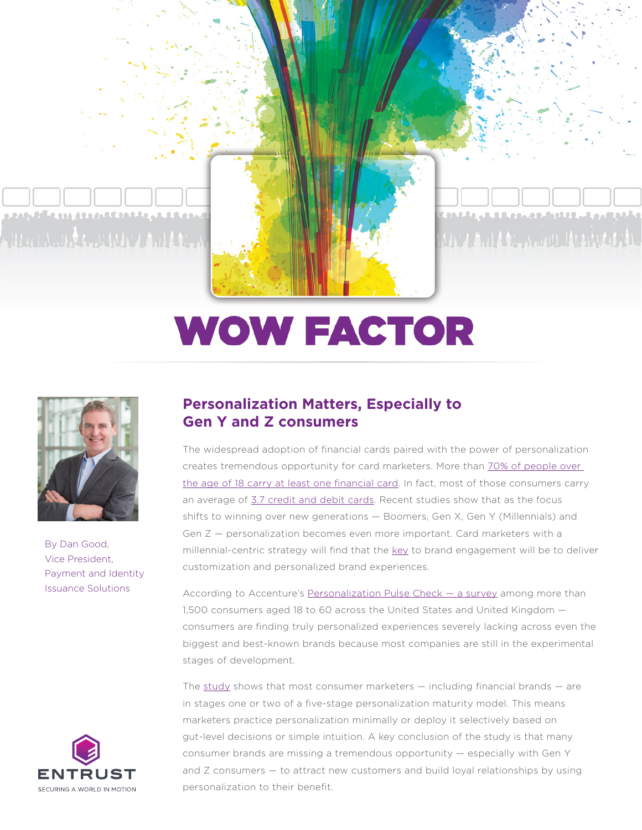Aller to A. Hotel Court to the Land of the a

<u>a natuhila ny handri Lan Lin, at Lina a</u>

فتعترم المتعادلة المستعملة المراقب MAY A And Law Nederland Christopher Ch

# **WOW FACTOR**



By Dan Good, Vice President, Payment and Identity Issuance Solutions



## **Personalization Matters, Especially to Gen Y and Z consumers**

The widespread adoption of financial cards paired with the power of personalization creates tremendous opportunity for card marketers. More than [70% of people over](https://www.creditcards.com/credit-card-news/ownership-statistics/)  [the age of 18 carry at least one financial card](https://www.creditcards.com/credit-card-news/ownership-statistics/). In fact, most of those consumers carry an average of [3.7 credit and debit cards.](https://www.cnbc.com/select/how-many-credit-cards-does-the-average-american-have/#:~:text=The%20average%20American%20have%204,2019%20Experian%20Consumer%20Credit%20Review.) Recent studies show that as the focus shifts to winning over new generations — Boomers, Gen X, Gen Y (Millennials) and Gen Z — personalization becomes even more important. Card marketers with a millennial-centric strategy will find that the [key](https://blogs.adobe.com/digitalmarketing/personalization/millennials-matter-this-buzzword-goes-well-beyond-the-hype/) to brand engagement will be to deliver customization and personalized brand experiences.

According to Accenture's Personalization Pulse Check - a survey among more than 1,500 consumers aged 18 to 60 across the United States and United Kingdom consumers are finding truly personalized experiences severely lacking across even the biggest and best-known brands because most companies are still in the experimental stages of development.

The  $study$  shows that most consumer marketers  $-$  including financial brands  $-$  are in stages one or two of a five-stage personalization maturity model. This means marketers practice personalization minimally or deploy it selectively based on gut-level decisions or simple intuition. A key conclusion of the study is that many consumer brands are missing a tremendous opportunity — especially with Gen Y and Z consumers – to attract new customers and build loyal relationships by using personalization to their benefit.